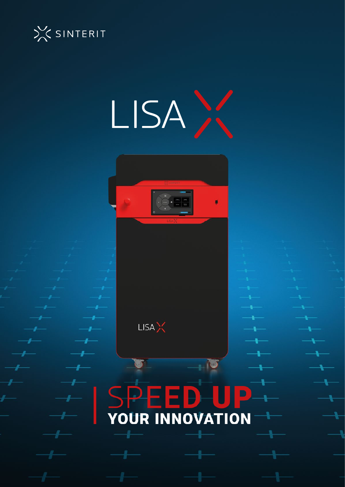





**LISA**<sup>X</sup>

# $\blacksquare$ YOUR INNOVATION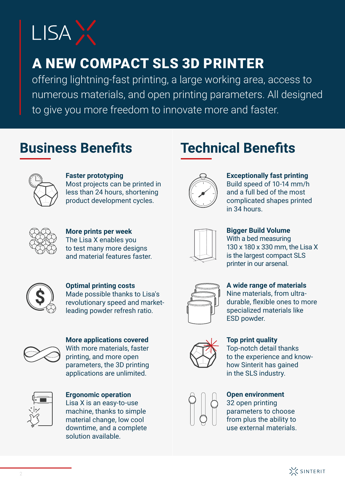

## A NEW COMPACT SLS 3D PRINTER

offering lightning-fast printing, a large working area, access to numerous materials, and open printing parameters. All designed to give you more freedom to innovate more and faster.

#### **Business Benefits**



**Faster prototyping**  Most projects can be printed in less than 24 hours, shortening product development cycles.



**Exceptionally fast printing** Build speed of 10-14 mm/h and a full bed of the most complicated shapes printed in 34 hours.

**Technical Benefits** 



**More prints per week**  The Lisa X enables you to test many more designs and material features faster.



**Bigger Build Volume**  With a bed measuring 130 x 180 x 330 mm, the Lisa X is the largest compact SLS printer in our arsenal.



**Optimal printing costs**  Made possible thanks to Lisa's revolutionary speed and marketleading powder refresh ratio.



**More applications covered** With more materials, faster printing, and more open parameters, the 3D printing applications are unlimited.



**Ergonomic operation**  Lisa X is an easy-to-use machine, thanks to simple material change, low cool downtime, and a complete solution available.



**A wide range of materials**  Nine materials, from ultradurable, flexible ones to more specialized materials like ESD powder.



**Top print quality**  Top-notch detail thanks to the experience and knowhow Sinterit has gained in the SLS industry.

**Open environment**  32 open printing parameters to choose from plus the ability to use external materials.

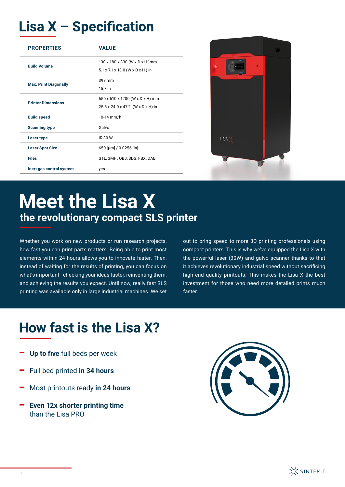## **Lisa X - Specification**

| <b>PROPERTIES</b>            | <b>VALUE</b>                                              |  |
|------------------------------|-----------------------------------------------------------|--|
| <b>Build Volume</b>          | 130 x 180 x 330 (W x D x H) mm                            |  |
|                              | $5.1 \times 7.1 \times 13.0$ (W $\times$ D $\times$ H) in |  |
| <b>Max. Print Diagonally</b> | 398 mm                                                    |  |
|                              | 15.7 in                                                   |  |
| <b>Printer Dimensions</b>    | 650 x 610 x 1200 (W x D x H) mm                           |  |
|                              | 25.6 x 24.0 x 47.2 (W x D x H) in                         |  |
| <b>Build speed</b>           | $10-14$ mm/h                                              |  |
| <b>Scanning type</b>         | Galvo                                                     |  |
| Laser type                   | <b>IR 30 W</b>                                            |  |
| <b>Laser Spot Size</b>       | 650 [µm] / 0.0256 [in]                                    |  |
| <b>Files</b>                 | STL, 3MF, OBJ, 3DS, FBX, DAE                              |  |
| Inert gas control system     | yes                                                       |  |



# **Meet the Lisa X the revolutionary compact SLS printer**

Whether you work on new products or run research projects, how fast you can print parts matters. Being able to print most elements within 24 hours allows you to innovate faster. Then, instead of waiting for the results of printing, you can focus on what's important - checking your ideas faster, reinventing them, and achieving the results you expect. Until now, really fast SLS printing was available only in large industrial machines. We set

out to bring speed to more 3D printing professionals using compact printers. This is why we've equipped the Lisa X with the powerful laser (30W) and galvo scanner thanks to that it achieves revolutionary industrial speed without sacrificing high-end quality printouts. This makes the Lisa X the best investment for those who need more detailed prints much faster.

### **How fast is the Lisa X?**

- Up to five full beds per week
- Full bed printed **in 34 hours**
- Most printouts ready **in 24 hours**
- **Even 12x shorter printing time** than the Lisa PRO